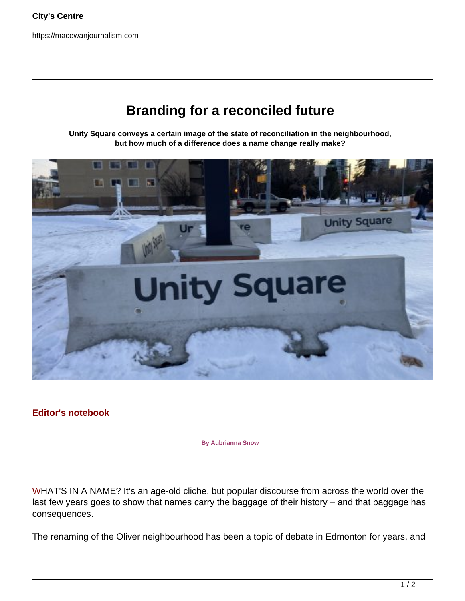https://macewanjournalism.com

## **Branding for a reconciled future**

**Unity Square conveys a certain image of the state of reconciliation in the neighbourhood, but how much of a difference does a name change really make?**



**Editor's notebook**

**By Aubrianna Snow**

WHAT'S IN A NAME? It's an age-old cliche, but popular discourse from across the world over the last few years goes to show that names carry the baggage of their history – and that baggage has consequences.

The renaming of the Oliver neighbourhood has been a topic of debate in Edmonton for years, and